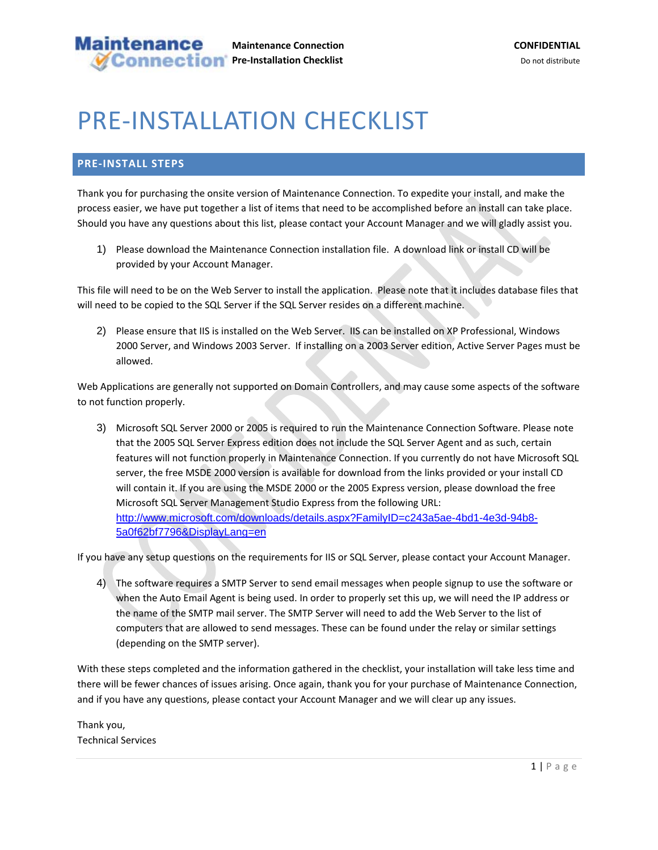## PRE‐INSTALLATION CHECKLIST

## **PRE‐INSTALL STEPS**

Thank you for purchasing the onsite version of Maintenance Connection. To expedite your install, and make the process easier, we have put together a list of items that need to be accomplished before an install can take place. Should you have any questions about this list, please contact your Account Manager and we will gladly assist you.

1) Please download the Maintenance Connection installation file. A download link or install CD will be provided by your Account Manager.

This file will need to be on the Web Server to install the application. Please note that it includes database files that will need to be copied to the SQL Server if the SQL Server resides on a different machine.

2) Please ensure that IIS is installed on the Web Server. IIS can be installed on XP Professional, Windows 2000 Server, and Windows 2003 Server. If installing on a 2003 Server edition, Active Server Pages must be allowed.

Web Applications are generally not supported on Domain Controllers, and may cause some aspects of the software to not function properly.

3) Microsoft SQL Server 2000 or 2005 is required to run the Maintenance Connection Software. Please note that the 2005 SQL Server Express edition does not include the SQL Server Agent and as such, certain features will not function properly in Maintenance Connection. If you currently do not have Microsoft SQL server, the free MSDE 2000 version is available for download from the links provided or your install CD will contain it. If you are using the MSDE 2000 or the 2005 Express version, please download the free Microsoft SQL Server Management Studio Express from the following URL: http://www.microsoft.com/downloads/details.aspx?FamilyID=c243a5ae-4bd1-4e3d-94b8- 5a0f62bf7796&DisplayLang=en

If you have any setup questions on the requirements for IIS or SQL Server, please contact your Account Manager.

4) The software requires a SMTP Server to send email messages when people signup to use the software or when the Auto Email Agent is being used. In order to properly set this up, we will need the IP address or the name of the SMTP mail server. The SMTP Server will need to add the Web Server to the list of computers that are allowed to send messages. These can be found under the relay or similar settings (depending on the SMTP server).

With these steps completed and the information gathered in the checklist, your installation will take less time and there will be fewer chances of issues arising. Once again, thank you for your purchase of Maintenance Connection, and if you have any questions, please contact your Account Manager and we will clear up any issues.

Thank you, Technical Services